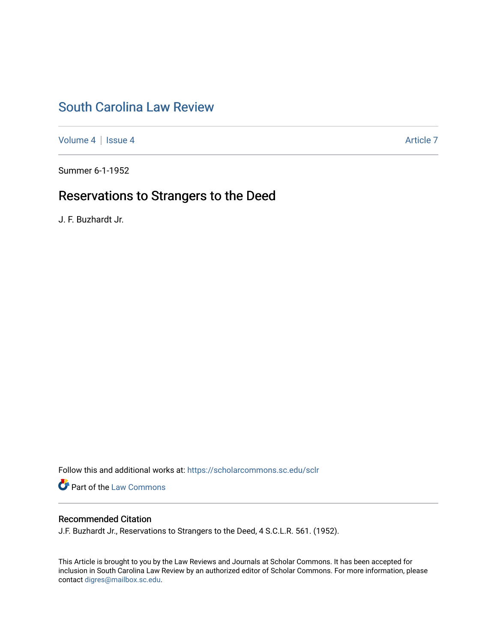# [South Carolina Law Review](https://scholarcommons.sc.edu/sclr)

[Volume 4](https://scholarcommons.sc.edu/sclr/vol4) | [Issue 4](https://scholarcommons.sc.edu/sclr/vol4/iss4) Article 7

Summer 6-1-1952

## Reservations to Strangers to the Deed

J. F. Buzhardt Jr.

Follow this and additional works at: [https://scholarcommons.sc.edu/sclr](https://scholarcommons.sc.edu/sclr?utm_source=scholarcommons.sc.edu%2Fsclr%2Fvol4%2Fiss4%2F7&utm_medium=PDF&utm_campaign=PDFCoverPages)

**Part of the [Law Commons](http://network.bepress.com/hgg/discipline/578?utm_source=scholarcommons.sc.edu%2Fsclr%2Fvol4%2Fiss4%2F7&utm_medium=PDF&utm_campaign=PDFCoverPages)** 

## Recommended Citation

J.F. Buzhardt Jr., Reservations to Strangers to the Deed, 4 S.C.L.R. 561. (1952).

This Article is brought to you by the Law Reviews and Journals at Scholar Commons. It has been accepted for inclusion in South Carolina Law Review by an authorized editor of Scholar Commons. For more information, please contact [digres@mailbox.sc.edu.](mailto:digres@mailbox.sc.edu)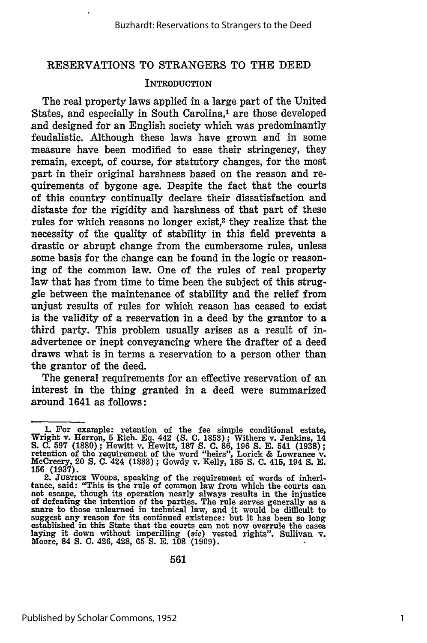#### RESERVATIONS TO STRANGERS TO THE DEED

#### **INTRODUCTION**

The real property laws applied in a large part of the United States, and especially in South Carolina,<sup>1</sup> are those developed and designed for an English society which was predominantly feudalistic. Although these laws have grown and **in** some measure have been modified to ease their stringency, they remain, except, of course, for statutory changes, for the most part in their original harshness based on the reason and requirements of bygone age. Despite the fact that the courts of this country continually declare their dissatisfaction and distaste for the rigidity and harshness of that part of these rules for which reasons no longer exist,<sup>2</sup> they realize that the necessity of the quality of stability in this field prevents a drastic or abrupt change from the cumbersome rules, unless some basis for the change can be found in the logic or reasoning of the common law. One of the rules of real property law that has from time to time been the subject of this struggle between the maintenance of stability and the relief from unjust results of rules for which reason has ceased to exist is the validity of a reservation in a deed **by** the grantor to a third party. This problem usually arises as a result of inadvertence or inept conveyancing where the drafter of a deed draws what is in terms a reservation to a person other than the grantor of the deed.

The general requirements for an effective reservation of an interest in the thing granted in a deed were summarized around 1641 as follows:

**<sup>1.</sup>** For example: retention of the fee simple conditional estate, Wright v. Herron, **5** Rich. **Eq.** 442 **(S. C. 1853);** Withers v. Jenkins, 14 **S. C. 597 (1880);** Hewitt v. Hewitt, **187 S. C. 86, 196 S. E.** 541 **(1938);** retention of the requirement of the word "heirs", Lorick **&** Lowrance **v.** MeCreery, 20 **S. C.** 424 **(1883) ;** Gowdy v. Kelly, **185 S. C.** 415, 194 **S. E. 156 (1937).**

<sup>2.</sup> **JUSTICE** WOODS, speaking of the requirement of words of inheri-tance, said: "This is the rule of common law from which the courts can not escape, though its operation nearly always results in the injustice of defeating the intention of the parties. The rule serves generally as a snare to those unlearned in technical law, and it would be difficult to succe to those ameasing in technical law, and to wome be dimedited to suggest any reason for its continued existence: but it has been so long laying it down without imperilling *(sic)* vested rights". Sullivan v. Moore, 84 S. C. 426, 428, 65 S. E. 108 (1909).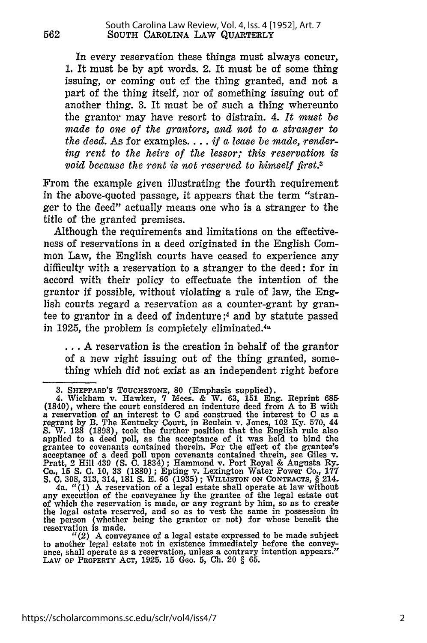In every reservation these things must always concur, 1. It must be by apt words. 2. It must be of some thing issuing, or coming out of the thing granted, and not a part of the thing itself, nor of something issuing out of another thing. 3. It must be of such a thing whereunto the grantor may have resort to distrain. 4. *It must be made to one of the grantors, and not to a stranger to the deed. As* for examples.... *if a lease be made, rendering rent to the heirs of the lessor; this reservation is void because the rent is not reserved to himself first.3*

From the example given illustrating the fourth requirement in the above-quoted passage, it appears that the term "stranger to the deed" actually means one who is a stranger to the title of the granted premises.

Although the requirements and limitations on the effectiveness of reservations in a deed originated in the English Common Law, the English courts have ceased to experience any difficulty with a reservation to a stranger to the deed: for in accord with their policy to effectuate the intention of the grantor if possible, without violating a rule of law, the English courts regard a reservation as a counter-grant by grantee to grantor in a deed of indenture ;4 and by statute passed in 1925, the problem is completely eliminated. $4a$ 

**...** A reservation is the creation in behalf of the grantor of a new right issuing out of the thing granted, something which did not exist as an independent right before

<sup>3.</sup> **SHEPPARD'S TOUCHSTONE,** 80 (Emphasis supplied).

<sup>4.</sup> Wickham v. Hawker, 7 Mees. **&** W. **63, 151** Eng. Reprint 685 (1840), where the court considered an indenture deed from A to B with a reservation of an interest to **C** and construed the interest to **C** as a regrant **by** B. The Kentucky Court, in Beulein v. Jones, 102 **Ky. 570,** <sup>44</sup> S. W. 128 (1898), took the further position that the English rule also<br>applied to a deed poll, as the acceptance of it was held to bind the<br>grantee to covenants contained therein. For the effect of the grantee's acceptance of a deed poll upon covenants contained threin, see Giles v. Pratt, 2 Hill 439 **(S. C.** 1834); Hammond v. Port Royal **&** Augusta Ry. Co., 15 S. C. 10, 33 (1880); Epting v. Lexington Water Power Co., 177<br>S. C. 308, 313, 314, 181 S. E. 66 (1935); WILLISTON ON CONTRACTS, § 214<br>4a. "(1) A reservation of a legal estate shall operate at law without

any execution of the conveyance by the grantee of the legal estate out of which the reservation is made, or any regrant by him, so as to create the legal estate reserved, and so as to vest the same in possession in the person (whether being the grantor or not) for whose benefit the reservation is made.

<sup>&</sup>quot;(2) A conveyance of a legal estate expressed to be made subject to another legal estate not in existence immediately before the conveyance, shall operate as a reservation, unless a contrary intention appears." LAW **OF PROPERY ACT, 1925. 15** Geo. 5, **Ch.** 20 § **65.**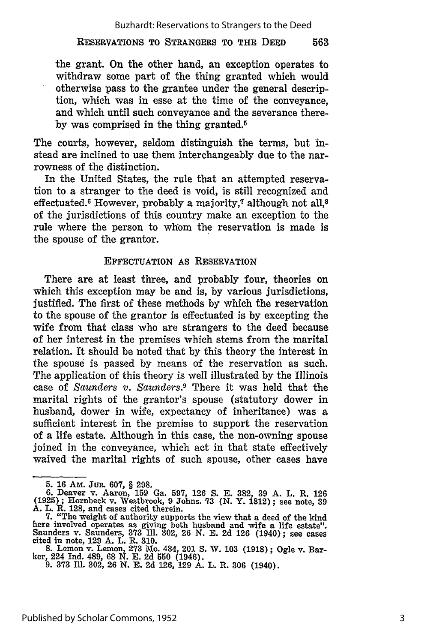#### RESERVATIONS TO **STRANGERS** TO THE **DEED** 563

the grant. On the other hand, an exception operates to withdraw some part of the thing granted which would otherwise pass to the grantee under the general description, which was in esse at the time of the conveyance, and which until such conveyance and the severance there**by** was comprised in the thing granted.5

The courts, however, seldom distinguish the terms, but instead are inclined to use them interchangeably due to the narrowness of the distinction.

In the United States, the rule that an attempted reservation to a stranger to the deed is void, is still recognized and effectuated.<sup>6</sup> However, probably a majority,<sup>7</sup> although not all,<sup>8</sup> of the jurisdictions of this country make an exception to the rule where the person to whom the reservation is made is the spouse of the grantor.

#### **EFFECTUATION** AS RESERVATION

There are at least three, and probably four, theories on which this exception may be and is, **by** various jurisdictions, justified. The first of these methods **by** which the reservation to the spouse of the grantor is effectuated is **by** excepting the wife from that class who are strangers to the deed because of her interest in the premises which stems from the marital relation. It should be noted that **by** this theory the interest in the spouse is passed **by** means of the reservation as such. The application of this theory is well illustrated **by** the Illinois case of *Saunders v. Saunders.9* There it was held that the marital rights of the grantor's spouse (statutory dower in husband, dower in wife, expectancy of inheritance) was a sufficient interest in the premise to support the reservation of a life estate. Although in this case, the non-owning spouse joined in the conveyance, which act in that state effectively waived the marital rights of such spouse, other cases have

<sup>5.</sup> **16** AM. Jun. **607,** § 298. **6.** Deaver v. Aaron, **159** Ga. **597, 126 S. E. 382, 39 A.** L. R. **126 (1925);** Hornbeck v. Westbrook, **9** Johns. **73 (N.** Y. 1812); see note, **39 A.** L. R. **128,** and cases cited therein.

<sup>7. &</sup>quot;The weight of authority supports the view that a deed of the kind here involved operates as giving both husband and wife a life estate". Saunders v. Saunders, **373 I1. 302, 26 N. E. 2d 126** (1940); see cases cited in note, **129 A.** L. R. **310.**

**<sup>8.</sup>** Lemon v. Lemon, **273** Mo. 484, 201 **S.** W. **103 (1918);** Ogle v. Bar-ker, 224 Ind. 489, **68 N. E. 2d 550** (1946).

**<sup>9. 373</sup> Ill. 302, 26 N. E. 2d 126, 129 A.** L. R. **306** (1940).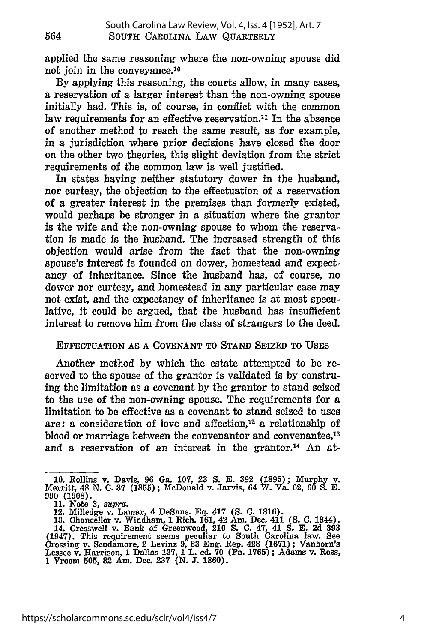applied the same reasoning where the non-owning spouse did not join in the conveyance.'0

By applying this reasoning, the courts allow, in many cases, a reservation of a larger interest than the non-owning spouse initially had. This *is,* of course, in conflict with the common law requirements for an effective reservation.<sup>11</sup> In the absence of another method to reach the same result, as for example, in a jurisdiction where prior decisions have closed the door on the other two theories, this slight deviation from the strict requirements of the common law is well justified.

In states having neither statutory dower in the husband, nor curtesy, the objection to the effectuation of a reservation of a greater interest in the premises than formerly existed, would perhaps be stronger in a situation where the grantor is the wife and the non-owning spouse to whom the reservation is made is the husband. The increased strength of this objection would arise from the fact that the non-owning spouse's interest is founded on dower, homestead and expectancy of inheritance. Since the husband has, of course, no dower nor curtesy, and homestead in any particular case may not exist, and the expectancy of inheritance is at most speculative, it could be argued, that the husband has insufficient interest to remove him from the class of strangers to the deed.

#### EFFECTUATION AS A COVENANT TO STAND SEIZED TO USES

Another method by which the estate attempted to be reserved to the spouse of the grantor is validated is by construing the limitation as a covenant by the grantor to stand seized to the use of the non-owning spouse. The requirements for a limitation to be effective as a covenant to stand seized to uses are: a consideration of love and affection,12 a relationship of blood or marriage between the convenantor and convenantee,<sup>13</sup> and a reservation of an interest in the grantor.<sup>14</sup> An at-

**<sup>10.</sup> Rollins v. Davis, 96 Ga. 107, 23 S. E. 392 (1895); Murphy v. Merritt, 48 N. C. 37 (1855); McDonald v. Jarvis, 64 W. Va. 62, 60 S. E. 990 (1908). 11. Note 3,** *supra.* **12. Milledge v. Lamar, 4 DeSaus. Eq. 417 (S. C. 1816).**

**<sup>13.</sup> Chancellor v. Windham, 1 Rich. 161, 42 Am. Dec. 411** *(S.* **C. 1844). 14. Cresswell** v. **Bank of Greenwood, 210 S. C. 47, 41** *S.* **E. 2d 393 (1947). This requirement seems peculiar to South Carolina** law. **See Crossing v. Scudamore,** 2 **Levinz 9, 83 Eng. Rep. 428 (1671); Vanhorn's Lessee v. Harrison, 1 Dallas 137, 1 L. ed. 70 (Pa. 1765); Adams v. Ross, 1 Vroom 505, 82 Am. Dec. 237 (N. J. 1860).**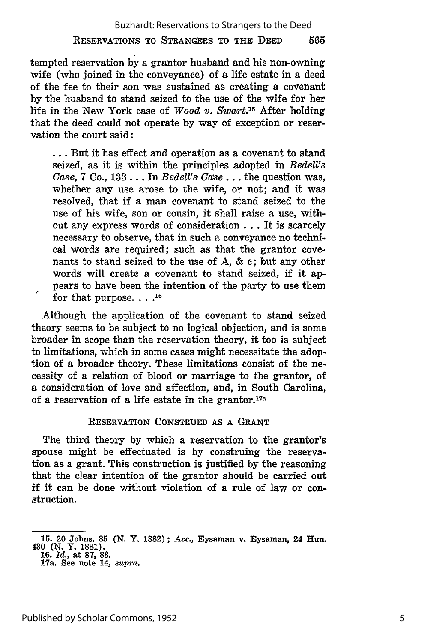tempted reservation by a grantor husband and his non-owning wife (who joined in the conveyance) of a life estate in a deed of the fee to their son was sustained as creating a covenant **by** the husband to stand seized to the use of the wife for her life in the New York case of *Wood v. Swart.15* After holding that the deed could not operate **by** way of exception or reservation the court said:

**...** But it has effect and operation as a covenant to stand seized, as it is within the principles adopted in *BedeU's Case, 7 Co., 133... In Bedell's Case...* the question was, whether any use arose to the wife, or not; and it was resolved, that if a man covenant to stand seized to the use of his wife, son or cousin, it shall raise a use, without any express words of consideration ... It is scarcely necessary to observe, that in such a conveyance no technical words are required; such as that the grantor covenants to stand seized to the use of A, & c; but any other words will create a covenant to stand seized, if it appears to have been the intention of the party to use them for that purpose. . . .<sup>16</sup>

Although the application of the covenant to stand seized theory seems to be subject to no logical objection, and is some broader in scope than the reservation theory, it too is subject to limitations, which in some cases might necessitate the adoption of a broader theory. These limitations consist of the necessity of a relation of blood or marriage to the grantor, of a consideration of love and affection, and, in South Carolina, of a reservation of a life estate in the grantor.<sup>17a</sup>

### RESERVATION **CONSTRUED** AS A GRANT

The third theory by which a reservation to the grantor's spouse might be effectuated is by construing the reservation as a grant. This construction is justified by the reasoning that the clear intention of the grantor should be carried out if it can be done without violation of a rule of law or construction.

**<sup>15.</sup>** 20 Johns. **85 (N.** Y. **1882);** *Acc.,* Eysaman v. Eysaman, 24 Hun. **480 (N.** Y. **1881). 16.** *Id.,* at **87, 88.** 17a. See note 14, *supra.*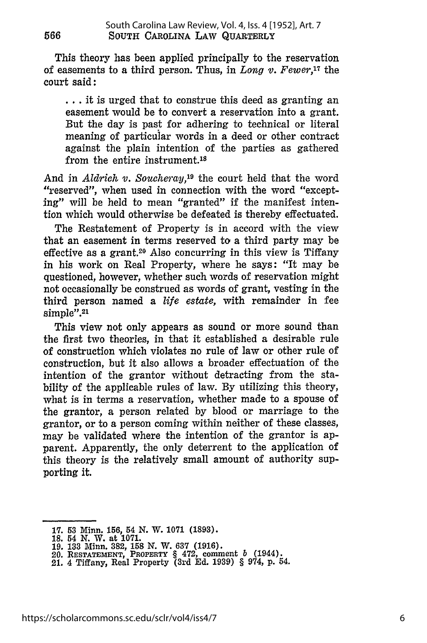This theory has been applied principally to the reservation of easements to a third person. Thus, in *Long v. Fewer,17* the court said:

**...** it is urged that to construe this deed as granting an easement would be to convert a reservation into a grant. But the day is past for adhering to technical or literal meaning of particular words in a deed or other contract against the plain intention of the parties as gathered from the entire instrument.<sup>18</sup>

And in *Aldrich v. Soucheray,19* the court held that the word "reserved", when used in connection with the word "excepting" will be held to mean "granted" if the manifest intention which would otherwise be defeated is thereby effectuated.

The Restatement of Property is in accord with the view that an easement in terms reserved to a third party may be effective as a grant.20 Also concurring in this view is Tiffany in his work on Real Property, where he says: "It may be questioned, however, whether such words of reservation might not occasionally be construed as words of grant, vesting in the third person named a *life estate,* with remainder in fee simple".<sup>21</sup>

This view not only appears as sound or more sound than the first two theories, in that it established a desirable rule of construction which violates no rule of law or other rule of construction, but it also allows a broader effectuation of the intention of the grantor without detracting from the stability of the applicable rules of law. **By** utilizing this theory, what is in terms a reservation, whether made to a spouse of the grantor, a person related **by** blood or marriage to the grantor, or to a person coming within neither of these classes, may be validated where the intention of the grantor is apparent. Apparently, the only deterrent to the application of this theory is the relatively small amount of authority supporting it.

566

**<sup>17. 53</sup>** Minn. 156, 54 **N.** W. **1071 (1893). 18.** 54 **N.** W. at **1071.**

**<sup>19. 133</sup>** Minn. **382, 158 N.** W. **637 (1916).** 20. **RESTATEMENT, PROPERTY** § 472, comment **b** (1944). 21. 4 Tiffany, Real Property (3rd **Ed. 1939)** § 974, **p.** 54.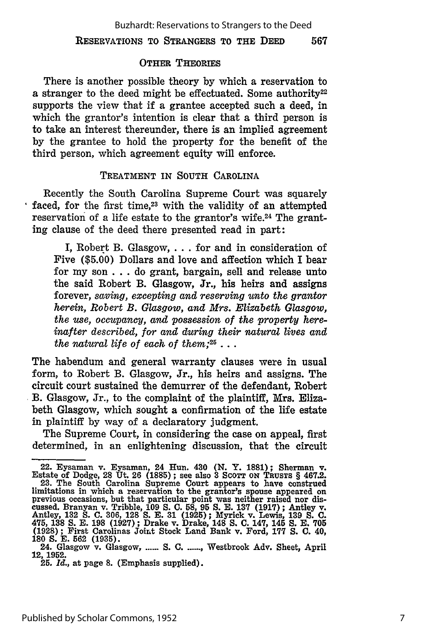#### RESERVATIONS TO STRANGERS TO THE DEED 567

#### OTHER THEORIES

There is another possible theory **by** which a reservation to a stranger to the deed might be effectuated. Some authority<sup>22</sup> supports the view that if a grantee accepted such a deed, in which the grantor's intention is clear that a third person is to take an interest thereunder, there is an implied agreement **by** the grantee to hold the property for the benefit of the third person, which agreement equity will enforce.

### TREATMENT IN **SOUTH** CAROLINA

Recently the South Carolina Supreme Court was squarely faced, for the first time,<sup>23</sup> with the validity of an attempted reservation of a life estate to the grantor's wife.<sup>24</sup> The granting clause of the deed there presented read in part:

I, Robert B. Glasgow, **. . .** for and in consideration of Five **(\$5.00)** Dollars and love and affection which I bear for my son **. . .** do grant, bargain, sell and release unto the said Robert B. Glasgow, Jr., his heirs and assigns forever, *saving, excepting and reserving unto the grantor herein, Robert B. Glasgow, and Mrs. Elizabeth Glasgow, the use, occupancy, and possession of the property hereinafter described, for and during their natural lives and the natural life of each of them;25* ...

The habendum and general warranty clauses were in usual form, to Robert B. Glasgow, Jr., his heirs and assigns. The circuit court sustained the demurrer of the defendant, Robert **B.** Glasgow, Jr., to the complaint of the plaintiff, Mrs. Elizabeth Glasgow, which sought a confirmation of the life estate in plaintiff by way of a declaratory judgment.

The Supreme Court, in considering the case on appeal, first determined, in an enlightening discussion, that the circuit

<sup>22.</sup> Eysaman v. Eysaman, 24 Hun. 430 (N. Y. 1881); Sherman v. Estate of Dodge, 28 Ut. 26 (1885); see also 3 Scorr on Truster § 467.2.<br>23. The South Carolina Supreme Court appears to have construed limitations in which a reservation to the grantor's spouse appeared on previous occasions, but that particular point was neither raised nor discussed. Branyan v. Tribble, **109 S. C. 58, 95 S.** E. **137** (1917); Antley v. Antley, **132 S. C.** 306, **128 S. E.** 31 (1925); Myrick v. Lewis, **139 S. C.** 475, **138 S.** E. **198** (1927) ; Drake v. Drake, 148 **S. C.** 147, 145 **S. E. 705 (1928);** First Carolinas Joint Stock Land Bank v. Ford, **177 S. C.** 40,

**<sup>180</sup>S. E.** 562 (1935). 24. Glasgow v. Glasgow, **...... S. C .......** Westbrook Adv. Sheet, April **12, 1952.** 25. *Id.,* at page **8.** (Emphasis supplied).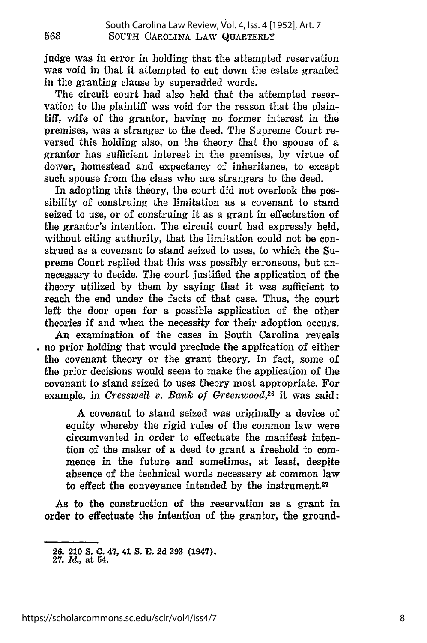judge was in error in holding that the attempted reservation was void in that it attempted to cut down the estate granted in the granting clause **by** superadded words.

The circuit court had also held that the attempted reservation to the plaintiff was void for the reason that the plaintiff, wife of the grantor, having no former interest in the premises, was a stranger to the deed. The Supreme Court reversed this holding also, on the theory that the spouse of a grantor has sufficient interest in the premises, **by** virtue of dower, homestead and expectancy of inheritance, to except such spouse from the class who are strangers to the deed.

In adopting this theory, the court did not overlook the possibility of construing the limitation as a covenant to stand seized to use, or of construing it as a grant in effectuation of the grantor's intention. The circuit court had expressly held, without citing authority, that the limitation could not be construed as a covenant to stand seized to uses, to which the Supreme Court replied that this was possibly erroneous, but unnecessary to decide. The court justified the application of the theory utilized **by** them **by** saying that it was sufficient to reach the end under the facts of that case. Thus, the court left the door open for a possible application of the other theories if and when the necessity for their adoption occurs.

An examination of the cases in South Carolina reveals no prior holding that would preclude the application of either the covenant theory or the grant theory. In fact, some of the prior decisions would seem to make the application of the covenant to stand seized to uses theory most appropriate. For example, in *Cresswell v. Bank of Greenwood*,<sup>26</sup> it was said:

**A** covenant to stand seized was originally a device of equity whereby the rigid rules of the common law were circumvented in order to effectuate the manifest intention of the maker of a deed to grant a freehold to commence in the future and sometimes, at least, despite absence of the technical words necessary at common law to effect the conveyance intended by the instrument.<sup>27</sup>

As to the construction of the reservation as a grant in order to effectuate the intention of the grantor, the ground-

**<sup>26. 210</sup> S. C. 47, 41 S. E. 2d 393 (1947). 27.** *Id.,* **at 54.**